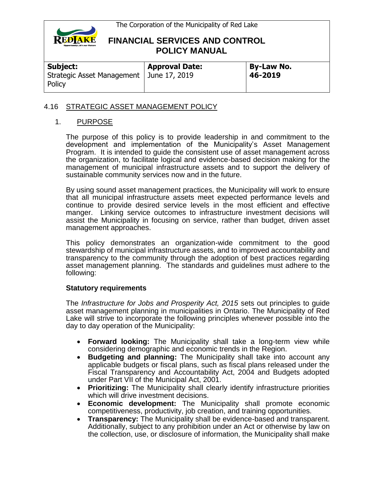

| Subject:                                             | <b>Approval Date:</b> | <b>By-Law No.</b> |
|------------------------------------------------------|-----------------------|-------------------|
| Strategic Asset Management   June 17, 2019<br>Policy |                       | 46-2019           |

### 4.16 STRATEGIC ASSET MANAGEMENT POLICY

### 1. PURPOSE

The purpose of this policy is to provide leadership in and commitment to the development and implementation of the Municipality's Asset Management Program. It is intended to guide the consistent use of asset management across the organization, to facilitate logical and evidence-based decision making for the management of municipal infrastructure assets and to support the delivery of sustainable community services now and in the future.

By using sound asset management practices, the Municipality will work to ensure that all municipal infrastructure assets meet expected performance levels and continue to provide desired service levels in the most efficient and effective manger. Linking service outcomes to infrastructure investment decisions will assist the Municipality in focusing on service, rather than budget, driven asset management approaches.

This policy demonstrates an organization-wide commitment to the good stewardship of municipal infrastructure assets, and to improved accountability and transparency to the community through the adoption of best practices regarding asset management planning. The standards and guidelines must adhere to the following:

#### **Statutory requirements**

The *Infrastructure for Jobs and Prosperity Act, 2015* sets out principles to guide asset management planning in municipalities in Ontario. The Municipality of Red Lake will strive to incorporate the following principles whenever possible into the day to day operation of the Municipality:

- **Forward looking:** The Municipality shall take a long-term view while considering demographic and economic trends in the Region.
- **Budgeting and planning:** The Municipality shall take into account any applicable budgets or fiscal plans, such as fiscal plans released under the Fiscal Transparency and Accountability Act, 2004 and Budgets adopted under Part VII of the Municipal Act, 2001.
- **Prioritizing:** The Municipality shall clearly identify infrastructure priorities which will drive investment decisions.
- **Economic development:** The Municipality shall promote economic competitiveness, productivity, job creation, and training opportunities.
- **Transparency:** The Municipality shall be evidence-based and transparent. Additionally, subject to any prohibition under an Act or otherwise by law on the collection, use, or disclosure of information, the Municipality shall make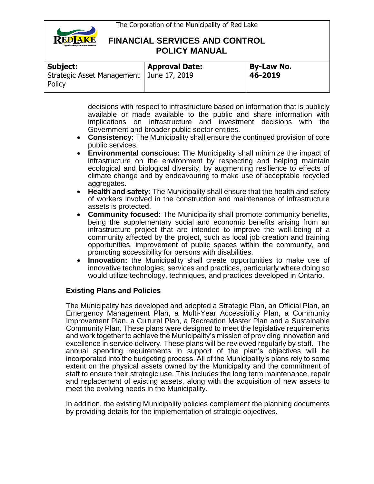

| Subject:                                             | <b>Approval Date:</b> | <b>By-Law No.</b> |
|------------------------------------------------------|-----------------------|-------------------|
| Strategic Asset Management   June 17, 2019<br>Policy |                       | 46-2019           |

decisions with respect to infrastructure based on information that is publicly available or made available to the public and share information with implications on infrastructure and investment decisions with the Government and broader public sector entities.

- **Consistency:** The Municipality shall ensure the continued provision of core public services.
- **Environmental conscious:** The Municipality shall minimize the impact of infrastructure on the environment by respecting and helping maintain ecological and biological diversity, by augmenting resilience to effects of climate change and by endeavouring to make use of acceptable recycled aggregates.
- **Health and safety:** The Municipality shall ensure that the health and safety of workers involved in the construction and maintenance of infrastructure assets is protected.
- **Community focused:** The Municipality shall promote community benefits, being the supplementary social and economic benefits arising from an infrastructure project that are intended to improve the well-being of a community affected by the project, such as local job creation and training opportunities, improvement of public spaces within the community, and promoting accessibility for persons with disabilities.
- **Innovation:** the Municipality shall create opportunities to make use of innovative technologies, services and practices, particularly where doing so would utilize technology, techniques, and practices developed in Ontario.

#### **Existing Plans and Policies**

The Municipality has developed and adopted a Strategic Plan, an Official Plan, an Emergency Management Plan, a Multi-Year Accessibility Plan, a Community Improvement Plan, a Cultural Plan, a Recreation Master Plan and a Sustainable Community Plan. These plans were designed to meet the legislative requirements and work together to achieve the Municipality's mission of providing innovation and excellence in service delivery. These plans will be reviewed regularly by staff. The annual spending requirements in support of the plan's objectives will be incorporated into the budgeting process. All of the Municipality's plans rely to some extent on the physical assets owned by the Municipality and the commitment of staff to ensure their strategic use. This includes the long term maintenance, repair and replacement of existing assets, along with the acquisition of new assets to meet the evolving needs in the Municipality.

In addition, the existing Municipality policies complement the planning documents by providing details for the implementation of strategic objectives.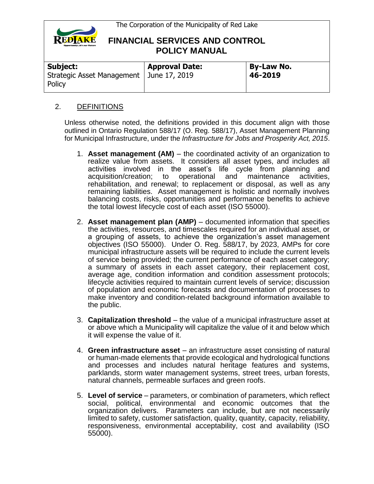

| Subject:                                             | <b>Approval Date:</b> | <b>By-Law No.</b> |
|------------------------------------------------------|-----------------------|-------------------|
| Strategic Asset Management   June 17, 2019<br>Policy |                       | 46-2019           |

### 2. DEFINITIONS

Unless otherwise noted, the definitions provided in this document align with those outlined in Ontario Regulation 588/17 (O. Reg. 588/17), Asset Management Planning for Municipal Infrastructure, under the *Infrastructure for Jobs and Prosperity Act, 2015*.

- 1. **Asset management (AM)** the coordinated activity of an organization to realize value from assets. It considers all asset types, and includes all activities involved in the asset's life cycle from planning and acquisition/creation; to operational and maintenance activities, rehabilitation, and renewal; to replacement or disposal, as well as any remaining liabilities. Asset management is holistic and normally involves balancing costs, risks, opportunities and performance benefits to achieve the total lowest lifecycle cost of each asset (ISO 55000).
- 2. **Asset management plan (AMP)** documented information that specifies the activities, resources, and timescales required for an individual asset, or a grouping of assets, to achieve the organization's asset management objectives (ISO 55000). Under O. Reg. 588/17, by 2023, AMPs for core municipal infrastructure assets will be required to include the current levels of service being provided; the current performance of each asset category; a summary of assets in each asset category, their replacement cost, average age, condition information and condition assessment protocols; lifecycle activities required to maintain current levels of service; discussion of population and economic forecasts and documentation of processes to make inventory and condition-related background information available to the public.
- 3. **Capitalization threshold** the value of a municipal infrastructure asset at or above which a Municipality will capitalize the value of it and below which it will expense the value of it.
- 4. **Green infrastructure asset** an infrastructure asset consisting of natural or human-made elements that provide ecological and hydrological functions and processes and includes natural heritage features and systems, parklands, storm water management systems, street trees, urban forests, natural channels, permeable surfaces and green roofs.
- 5. **Level of service** parameters, or combination of parameters, which reflect social, political, environmental and economic outcomes that the organization delivers. Parameters can include, but are not necessarily limited to safety, customer satisfaction, quality, quantity, capacity, reliability, responsiveness, environmental acceptability, cost and availability (ISO 55000).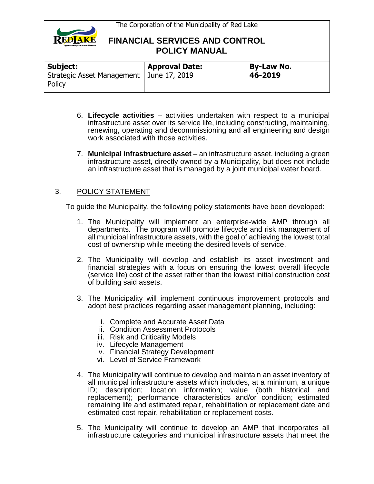

| <b>Subject:</b>                        | <b>Approval Date:</b> | <b>By-Law No.</b> |
|----------------------------------------|-----------------------|-------------------|
| Strategic Asset Management  <br>Policy | June 17, 2019         | 46-2019           |

- 6. **Lifecycle activities** activities undertaken with respect to a municipal infrastructure asset over its service life, including constructing, maintaining, renewing, operating and decommissioning and all engineering and design work associated with those activities.
- 7. **Municipal infrastructure asset** an infrastructure asset, including a green infrastructure asset, directly owned by a Municipality, but does not include an infrastructure asset that is managed by a joint municipal water board.

### 3. POLICY STATEMENT

To guide the Municipality, the following policy statements have been developed:

- 1. The Municipality will implement an enterprise-wide AMP through all departments. The program will promote lifecycle and risk management of all municipal infrastructure assets, with the goal of achieving the lowest total cost of ownership while meeting the desired levels of service.
- 2. The Municipality will develop and establish its asset investment and financial strategies with a focus on ensuring the lowest overall lifecycle (service life) cost of the asset rather than the lowest initial construction cost of building said assets.
- 3. The Municipality will implement continuous improvement protocols and adopt best practices regarding asset management planning, including:
	- i. Complete and Accurate Asset Data
	- ii. Condition Assessment Protocols
	- iii. Risk and Criticality Models
	- iv. Lifecycle Management
	- v. Financial Strategy Development
	- vi. Level of Service Framework
- 4. The Municipality will continue to develop and maintain an asset inventory of all municipal infrastructure assets which includes, at a minimum, a unique ID; description; location information; value (both historical and replacement); performance characteristics and/or condition; estimated remaining life and estimated repair, rehabilitation or replacement date and estimated cost repair, rehabilitation or replacement costs.
- 5. The Municipality will continue to develop an AMP that incorporates all infrastructure categories and municipal infrastructure assets that meet the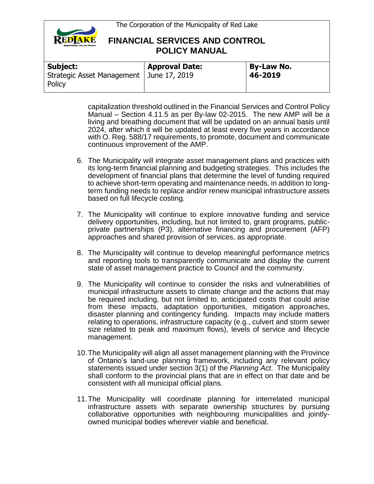

| Subject:                                             | <b>Approval Date:</b> | <b>By-Law No.</b> |
|------------------------------------------------------|-----------------------|-------------------|
| Strategic Asset Management   June 17, 2019<br>Policy |                       | 46-2019           |

capitalization threshold outlined in the Financial Services and Control Policy Manual – Section 4.11.5 as per By-law 02-2015. The new AMP will be a living and breathing document that will be updated on an annual basis until 2024, after which it will be updated at least every five years in accordance with O. Reg. 588/17 requirements, to promote, document and communicate continuous improvement of the AMP.

- 6. The Municipality will integrate asset management plans and practices with its long-term financial planning and budgeting strategies. This includes the development of financial plans that determine the level of funding required to achieve short-term operating and maintenance needs, in addition to longterm funding needs to replace and/or renew municipal infrastructure assets based on full lifecycle costing.
- 7. The Municipality will continue to explore innovative funding and service delivery opportunities, including, but not limited to, grant programs, publicprivate partnerships (P3), alternative financing and procurement (AFP) approaches and shared provision of services, as appropriate.
- 8. The Municipality will continue to develop meaningful performance metrics and reporting tools to transparently communicate and display the current state of asset management practice to Council and the community.
- 9. The Municipality will continue to consider the risks and vulnerabilities of municipal infrastructure assets to climate change and the actions that may be required including, but not limited to, anticipated costs that could arise from these impacts, adaptation opportunities, mitigation approaches, disaster planning and contingency funding. Impacts may include matters relating to operations, infrastructure capacity (e.g., culvert and storm sewer size related to peak and maximum flows), levels of service and lifecycle management.
- 10.The Municipality will align all asset management planning with the Province of Ontario's land-use planning framework, including any relevant policy statements issued under section 3(1) of the *Planning Act*. The Municipality shall conform to the provincial plans that are in effect on that date and be consistent with all municipal official plans.
- 11.The Municipality will coordinate planning for interrelated municipal infrastructure assets with separate ownership structures by pursuing collaborative opportunities with neighbouring municipalities and jointlyowned municipal bodies wherever viable and beneficial.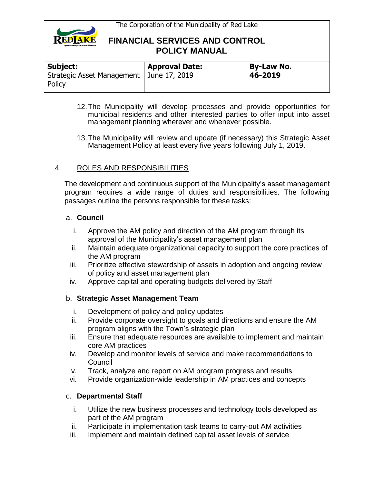

| Subject:                                             | <b>Approval Date:</b> | <b>By-Law No.</b> |
|------------------------------------------------------|-----------------------|-------------------|
| Strategic Asset Management   June 17, 2019<br>Policy |                       | 46-2019           |

- 12.The Municipality will develop processes and provide opportunities for municipal residents and other interested parties to offer input into asset management planning wherever and whenever possible.
- 13.The Municipality will review and update (if necessary) this Strategic Asset Management Policy at least every five years following July 1, 2019.

### 4. ROLES AND RESPONSIBILITIES

The development and continuous support of the Municipality's asset management program requires a wide range of duties and responsibilities. The following passages outline the persons responsible for these tasks:

#### a. **Council**

- i. Approve the AM policy and direction of the AM program through its approval of the Municipality's asset management plan
- ii. Maintain adequate organizational capacity to support the core practices of the AM program
- iii. Prioritize effective stewardship of assets in adoption and ongoing review of policy and asset management plan
- iv. Approve capital and operating budgets delivered by Staff

### b. **Strategic Asset Management Team**

- i. Development of policy and policy updates
- ii. Provide corporate oversight to goals and directions and ensure the AM program aligns with the Town's strategic plan
- iii. Ensure that adequate resources are available to implement and maintain core AM practices
- iv. Develop and monitor levels of service and make recommendations to Council
- v. Track, analyze and report on AM program progress and results
- vi. Provide organization-wide leadership in AM practices and concepts

### c. **Departmental Staff**

- i. Utilize the new business processes and technology tools developed as part of the AM program
- ii. Participate in implementation task teams to carry-out AM activities
- iii. Implement and maintain defined capital asset levels of service